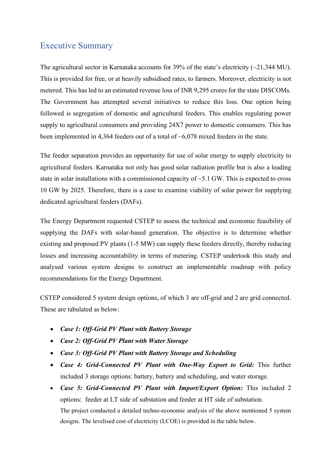## Executive Summary

The agricultural sector in Karnataka accounts for 39% of the state's electricity  $(\sim 21,344 \text{ MU})$ . This is provided for free, or at heavily subsidised rates, to farmers. Moreover, electricity is not metered. This has led to an estimated revenue loss of INR 9,295 crores for the state DISCOMs. The Government has attempted several initiatives to reduce this loss. One option being followed is segregation of domestic and agricultural feeders. This enables regulating power supply to agricultural consumers and providing 24X7 power to domestic consumers. This has been implemented in 4,364 feeders out of a total of ~6,078 mixed feeders in the state.

The feeder separation provides an opportunity for use of solar energy to supply electricity to agricultural feeders. Karnataka not only has good solar radiation profile but is also a leading state in solar installations with a commissioned capacity of  $\sim$  5.1 GW. This is expected to cross 10 GW by 2025. Therefore, there is a case to examine viability of solar power for supplying dedicated agricultural feeders (DAFs).

The Energy Department requested CSTEP to assess the technical and economic feasibility of supplying the DAFs with solar-based generation. The objective is to determine whether existing and proposed PV plants (1-5 MW) can supply these feeders directly, thereby reducing losses and increasing accountability in terms of metering. CSTEP undertook this study and analysed various system designs to construct an implementable roadmap with policy recommendations for the Energy Department.

CSTEP considered 5 system design options, of which 3 are off-grid and 2 are grid connected. These are tabulated as below:

- *Case 1: Off-Grid PV Plant with Battery Storage*
- *Case 2: Off-Grid PV Plant with Water Storage*
- *Case 3: Off-Grid PV Plant with Battery Storage and Scheduling*
- *Case 4: Grid-Connected PV Plant with One-Way Export to Grid:* This further included 3 storage options: battery, battery and scheduling, and water storage.
- *Case 5: Grid-Connected PV Plant with Import/Export Option:* This included 2 options: feeder at LT side of substation and feeder at HT side of substation. The project conducted a detailed techno-economic analysis of the above mentioned 5 system designs. The levelised cost of electricity (LCOE) is provided in the table below.